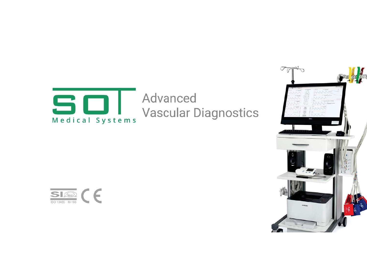

Advanced **Vascular Diagnostics** 



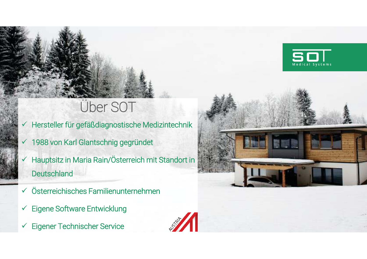### Über SOT

- Hersteller für gefäßdiagnostische Medizintechnik
- ✔ 1988 von Karl Glantschnig gegründet
- Hauptsitz in Maria Rain/Österreich mit Standort in **Deutschland**
- $\checkmark$  Österreichisches Familienunternehmen
- **Eigene Software Entwicklung**  $\checkmark$
- **Eigener Technischer Service**





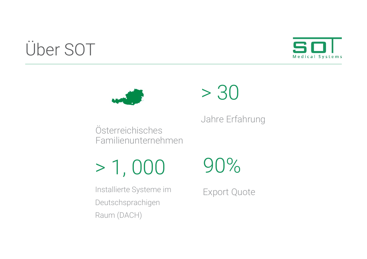### Über SOT





## $> 30$

Jahre Erfahrung

Österreichisches Familienunternehmen

 $> 1,000$ 

90%

Installierte Systeme im Deutschsprachigen Raum (DACH)

**Export Quote**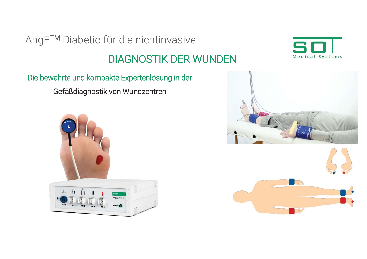# Medical Systems

#### **DIAGNOSTIK DER WUNDEN**

Die bewährte und kompakte Expertenlösung in der Gefäßdiagnostik von Wundzentren





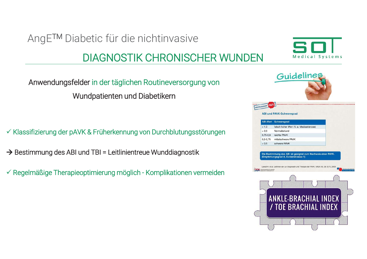#### **DIAGNOSTIK CHRONISCHER WUNDEN**

Anwendungsfelder in der täglichen Routineversorgung von Wundpatienten und Diabetikern

√ Klassifizierung der pAVK & Früherkennung von Durchblutungsstörungen

 $\rightarrow$  Bestimmung des ABI und TBI = Leitlinientreue Wunddiagnostik

 $\checkmark$  Regelmäßige Therapieoptimierung möglich - Komplikationen vermeiden



Medical Systems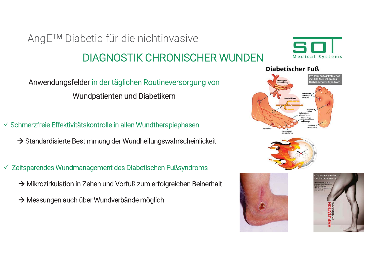#### **DIAGNOSTIK CHRONISCHER WUNDEN**



Anwendungsfelder in der täglichen Routineversorgung von Wundpatienten und Diabetikern

√ Schmerzfreie Effektivitätskontrolle in allen Wundtherapiephasen

→ Standardisierte Bestimmung der Wundheilungswahrscheinlickeit

✓ Zeitsparendes Wundmanagement des Diabetischen Fußsyndroms

- $\rightarrow$  Mikrozirkulation in Zehen und Vorfuß zum erfolgreichen Beinerhalt
- $\rightarrow$  Messungen auch über Wundverbände möglich





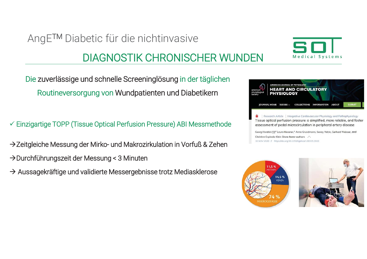#### **DIAGNOSTIK CHRONISCHER WUNDEN**

Die zuverlässige und schnelle Screeninglösung in der täglichen Routineversorgung von Wundpatienten und Diabetikern

← Einzigartige TOPP (Tissue Optical Perfusion Pressure) ABI Messmethode

 $\rightarrow$  Zeitgleiche Messung der Mirko- und Makrozirkulation in Vorfuß & Zehen

- $\rightarrow$  Durchführungszeit der Messung < 3 Minuten
- $\rightarrow$  Aussagekräftige und validierte Messergebnisse trotz Mediasklerose



Medical Systems

Research Article | Integrative Cardiovascular Physiology and Pathophysiology Tissue optical perfusion pressure: a simplified, more reliable, and faster assessment of pedal microcirculation in peripheral artery disease

Georg Horstick <a>[</a>,\* Laura Messner,\* Anna Grundmann, Senay Yalcin, Gerhard Weisser, and Christine Espinola-Klein Show fewer authors / 16 NOV 2020 // https://doi.org/10.1152/ajpheart.00339.2020



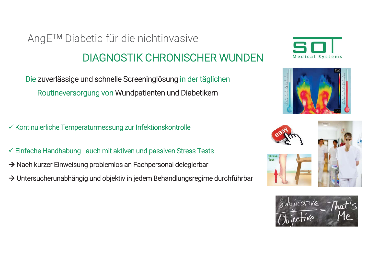#### **DIAGNOSTIK CHRONISCHER WUNDEN**

Die zuverlässige und schnelle Screeninglösung in der täglichen Routineversorgung von Wundpatienten und Diabetikern

✓ Kontinuierliche Temperaturmessung zur Infektionskontrolle

- ← Einfache Handhabung auch mit aktiven und passiven Stress Tests
- > Nach kurzer Einweisung problemlos an Fachpersonal delegierbar
- > Untersucherunabhängig und objektiv in jedem Behandlungsregime durchführbar





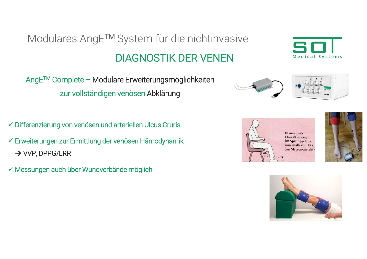### Modulares AngE™ System für die nichtinvasive **DIAGNOSTIK DER VENEN**



- √ Differenzierung von venösen und arteriellen Ulcus Cruris
- ← Erweiterungen zur Ermittlung der venösen Hämodynamik  $\rightarrow$  VVP, DPPG/LRR
- √ Messungen auch über Wundverbände möglich



Medical Systems





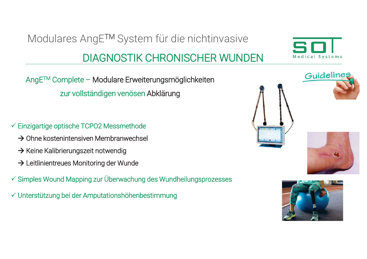#### **DIAGNOSTIK CHRONISCHER WUNDEN**

AngE™ Complete - Modulare Erweiterungsmöglichkeiten zur vollständigen venösen Abklärung

Modulares AngE™ System für die nichtinvasive

- ← Einzigartige optische TCPO2 Messmethode
	- $\rightarrow$  Ohne kostenintensiven Membranwechsel
	- → Keine Kalibrierungszeit notwendig
	- $\rightarrow$  Leitlinientreues Monitoring der Wunde
- ✓ Simples Wound Mapping zur Überwachung des Wundheilungsprozesses
- √ Unterstützung bei der Amputationshöhenbestimmung







Guideline